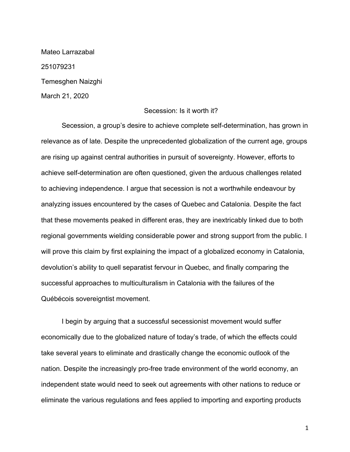Mateo Larrazabal 251079231 Temesghen Naizghi March 21, 2020

## Secession: Is it worth it?

Secession, a group's desire to achieve complete self-determination, has grown in relevance as of late. Despite the unprecedented globalization of the current age, groups are rising up against central authorities in pursuit of sovereignty. However, efforts to achieve self-determination are often questioned, given the arduous challenges related to achieving independence. I argue that secession is not a worthwhile endeavour by analyzing issues encountered by the cases of Quebec and Catalonia. Despite the fact that these movements peaked in different eras, they are inextricably linked due to both regional governments wielding considerable power and strong support from the public. I will prove this claim by first explaining the impact of a globalized economy in Catalonia, devolution's ability to quell separatist fervour in Quebec, and finally comparing the successful approaches to multiculturalism in Catalonia with the failures of the Québécois sovereigntist movement.

I begin by arguing that a successful secessionist movement would suffer economically due to the globalized nature of today's trade, of which the effects could take several years to eliminate and drastically change the economic outlook of the nation. Despite the increasingly pro-free trade environment of the world economy, an independent state would need to seek out agreements with other nations to reduce or eliminate the various regulations and fees applied to importing and exporting products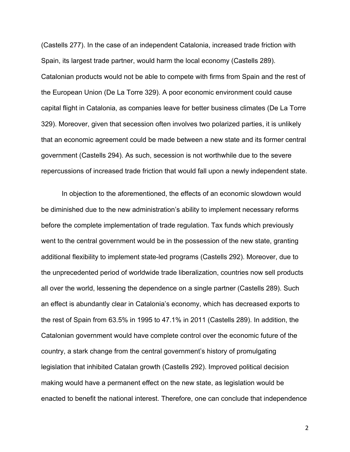(Castells 277). In the case of an independent Catalonia, increased trade friction with Spain, its largest trade partner, would harm the local economy (Castells 289). Catalonian products would not be able to compete with firms from Spain and the rest of the European Union (De La Torre 329). A poor economic environment could cause capital flight in Catalonia, as companies leave for better business climates (De La Torre 329). Moreover, given that secession often involves two polarized parties, it is unlikely that an economic agreement could be made between a new state and its former central government (Castells 294). As such, secession is not worthwhile due to the severe repercussions of increased trade friction that would fall upon a newly independent state.

In objection to the aforementioned, the effects of an economic slowdown would be diminished due to the new administration's ability to implement necessary reforms before the complete implementation of trade regulation. Tax funds which previously went to the central government would be in the possession of the new state, granting additional flexibility to implement state-led programs (Castells 292). Moreover, due to the unprecedented period of worldwide trade liberalization, countries now sell products all over the world, lessening the dependence on a single partner (Castells 289). Such an effect is abundantly clear in Catalonia's economy, which has decreased exports to the rest of Spain from 63.5% in 1995 to 47.1% in 2011 (Castells 289). In addition, the Catalonian government would have complete control over the economic future of the country, a stark change from the central government's history of promulgating legislation that inhibited Catalan growth (Castells 292). Improved political decision making would have a permanent effect on the new state, as legislation would be enacted to benefit the national interest. Therefore, one can conclude that independence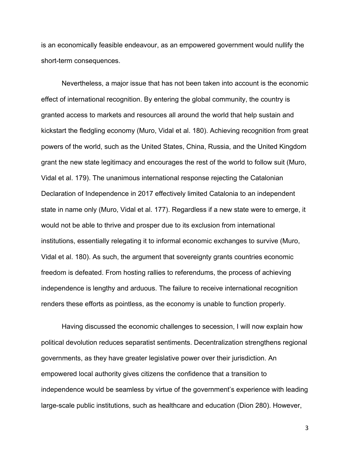is an economically feasible endeavour, as an empowered government would nullify the short-term consequences.

Nevertheless, a major issue that has not been taken into account is the economic effect of international recognition. By entering the global community, the country is granted access to markets and resources all around the world that help sustain and kickstart the fledgling economy (Muro, Vidal et al. 180). Achieving recognition from great powers of the world, such as the United States, China, Russia, and the United Kingdom grant the new state legitimacy and encourages the rest of the world to follow suit (Muro, Vidal et al. 179). The unanimous international response rejecting the Catalonian Declaration of Independence in 2017 effectively limited Catalonia to an independent state in name only (Muro, Vidal et al. 177). Regardless if a new state were to emerge, it would not be able to thrive and prosper due to its exclusion from international institutions, essentially relegating it to informal economic exchanges to survive (Muro, Vidal et al. 180). As such, the argument that sovereignty grants countries economic freedom is defeated. From hosting rallies to referendums, the process of achieving independence is lengthy and arduous. The failure to receive international recognition renders these efforts as pointless, as the economy is unable to function properly.

Having discussed the economic challenges to secession, I will now explain how political devolution reduces separatist sentiments. Decentralization strengthens regional governments, as they have greater legislative power over their jurisdiction. An empowered local authority gives citizens the confidence that a transition to independence would be seamless by virtue of the government's experience with leading large-scale public institutions, such as healthcare and education (Dion 280). However,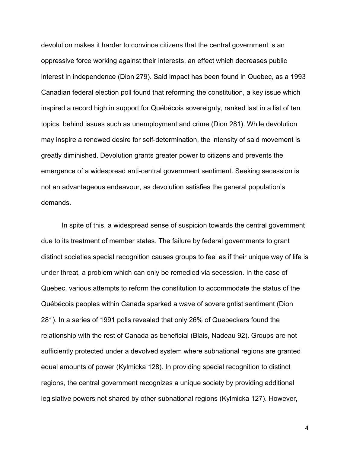devolution makes it harder to convince citizens that the central government is an oppressive force working against their interests, an effect which decreases public interest in independence (Dion 279). Said impact has been found in Quebec, as a 1993 Canadian federal election poll found that reforming the constitution, a key issue which inspired a record high in support for Québécois sovereignty, ranked last in a list of ten topics, behind issues such as unemployment and crime (Dion 281). While devolution may inspire a renewed desire for self-determination, the intensity of said movement is greatly diminished. Devolution grants greater power to citizens and prevents the emergence of a widespread anti-central government sentiment. Seeking secession is not an advantageous endeavour, as devolution satisfies the general population's demands.

In spite of this, a widespread sense of suspicion towards the central government due to its treatment of member states. The failure by federal governments to grant distinct societies special recognition causes groups to feel as if their unique way of life is under threat, a problem which can only be remedied via secession. In the case of Quebec, various attempts to reform the constitution to accommodate the status of the Québécois peoples within Canada sparked a wave of sovereigntist sentiment (Dion 281). In a series of 1991 polls revealed that only 26% of Quebeckers found the relationship with the rest of Canada as beneficial (Blais, Nadeau 92). Groups are not sufficiently protected under a devolved system where subnational regions are granted equal amounts of power (Kylmicka 128). In providing special recognition to distinct regions, the central government recognizes a unique society by providing additional legislative powers not shared by other subnational regions (Kylmicka 127). However,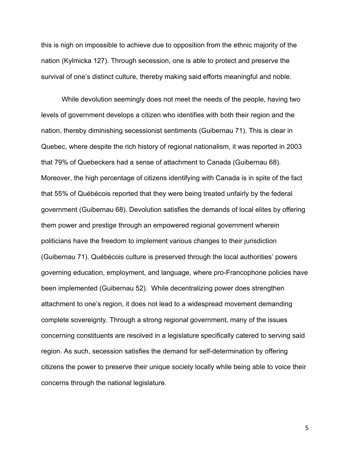this is nigh on impossible to achieve due to opposition from the ethnic majority of the nation (Kylmicka 127). Through secession, one is able to protect and preserve the survival of one's distinct culture, thereby making said efforts meaningful and noble.

While devolution seemingly does not meet the needs of the people, having two levels of government develops a citizen who identifies with both their region and the nation, thereby diminishing secessionist sentiments (Guibernau 71). This is clear in Quebec, where despite the rich history of regional nationalism, it was reported in 2003 that 79% of Quebeckers had a sense of attachment to Canada (Guibernau 68). Moreover, the high percentage of citizens identifying with Canada is in spite of the fact that 55% of Québécois reported that they were being treated unfairly by the federal government (Guibernau 68). Devolution satisfies the demands of local elites by offering them power and prestige through an empowered regional government wherein politicians have the freedom to implement various changes to their jurisdiction (Guibernau 71). Québécois culture is preserved through the local authorities' powers governing education, employment, and language, where pro-Francophone policies have been implemented (Guibernau 52). While decentralizing power does strengthen attachment to one's region, it does not lead to a widespread movement demanding complete sovereignty. Through a strong regional government, many of the issues concerning constituents are resolved in a legislature specifically catered to serving said region. As such, secession satisfies the demand for self-determination by offering citizens the power to preserve their unique society locally while being able to voice their concerns through the national legislature.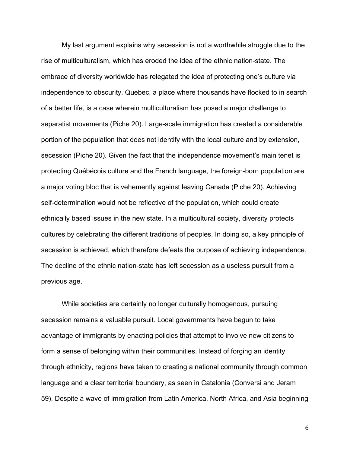My last argument explains why secession is not a worthwhile struggle due to the rise of multiculturalism, which has eroded the idea of the ethnic nation-state. The embrace of diversity worldwide has relegated the idea of protecting one's culture via independence to obscurity. Quebec, a place where thousands have flocked to in search of a better life, is a case wherein multiculturalism has posed a major challenge to separatist movements (Piche 20). Large-scale immigration has created a considerable portion of the population that does not identify with the local culture and by extension, secession (Piche 20). Given the fact that the independence movement's main tenet is protecting Québécois culture and the French language, the foreign-born population are a major voting bloc that is vehemently against leaving Canada (Piche 20). Achieving self-determination would not be reflective of the population, which could create ethnically based issues in the new state. In a multicultural society, diversity protects cultures by celebrating the different traditions of peoples. In doing so, a key principle of secession is achieved, which therefore defeats the purpose of achieving independence. The decline of the ethnic nation-state has left secession as a useless pursuit from a previous age.

While societies are certainly no longer culturally homogenous, pursuing secession remains a valuable pursuit. Local governments have begun to take advantage of immigrants by enacting policies that attempt to involve new citizens to form a sense of belonging within their communities. Instead of forging an identity through ethnicity, regions have taken to creating a national community through common language and a clear territorial boundary, as seen in Catalonia (Conversi and Jeram 59). Despite a wave of immigration from Latin America, North Africa, and Asia beginning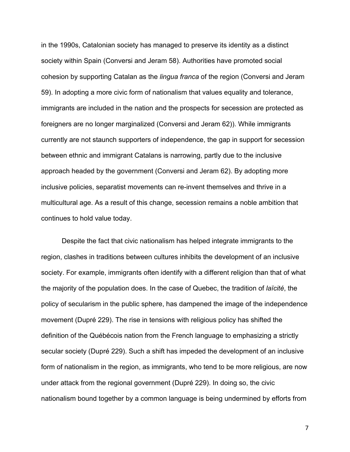in the 1990s, Catalonian society has managed to preserve its identity as a distinct society within Spain (Conversi and Jeram 58). Authorities have promoted social cohesion by supporting Catalan as the *lingua franca* of the region (Conversi and Jeram 59). In adopting a more civic form of nationalism that values equality and tolerance, immigrants are included in the nation and the prospects for secession are protected as foreigners are no longer marginalized (Conversi and Jeram 62)). While immigrants currently are not staunch supporters of independence, the gap in support for secession between ethnic and immigrant Catalans is narrowing, partly due to the inclusive approach headed by the government (Conversi and Jeram 62). By adopting more inclusive policies, separatist movements can re-invent themselves and thrive in a multicultural age. As a result of this change, secession remains a noble ambition that continues to hold value today.

Despite the fact that civic nationalism has helped integrate immigrants to the region, clashes in traditions between cultures inhibits the development of an inclusive society. For example, immigrants often identify with a different religion than that of what the majority of the population does. In the case of Quebec, the tradition of *laïcité*, the policy of secularism in the public sphere, has dampened the image of the independence movement (Dupré 229). The rise in tensions with religious policy has shifted the definition of the Québécois nation from the French language to emphasizing a strictly secular society (Dupré 229). Such a shift has impeded the development of an inclusive form of nationalism in the region, as immigrants, who tend to be more religious, are now under attack from the regional government (Dupré 229). In doing so, the civic nationalism bound together by a common language is being undermined by efforts from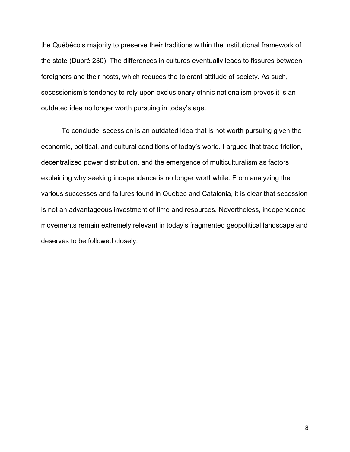the Québécois majority to preserve their traditions within the institutional framework of the state (Dupré 230). The differences in cultures eventually leads to fissures between foreigners and their hosts, which reduces the tolerant attitude of society. As such, secessionism's tendency to rely upon exclusionary ethnic nationalism proves it is an outdated idea no longer worth pursuing in today's age.

To conclude, secession is an outdated idea that is not worth pursuing given the economic, political, and cultural conditions of today's world. I argued that trade friction, decentralized power distribution, and the emergence of multiculturalism as factors explaining why seeking independence is no longer worthwhile. From analyzing the various successes and failures found in Quebec and Catalonia, it is clear that secession is not an advantageous investment of time and resources. Nevertheless, independence movements remain extremely relevant in today's fragmented geopolitical landscape and deserves to be followed closely.